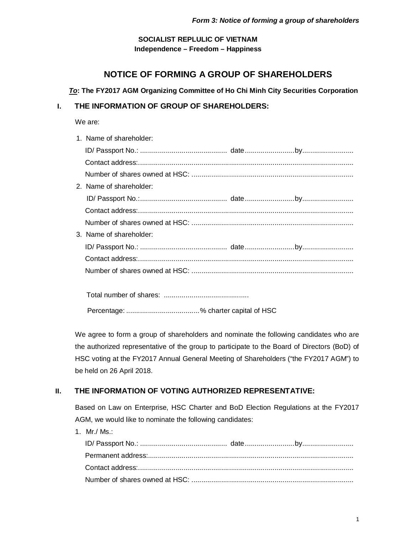## **SOCIALIST REPLULIC OF VIETNAM Independence – Freedom – Happiness**

# **NOTICE OF FORMING A GROUP OF SHAREHOLDERS**

### *To***: The FY2017 AGM Organizing Committee of Ho Chi Minh City Securities Corporation**

# **I. THE INFORMATION OF GROUP OF SHAREHOLDERS:**

We are:

| 1. Name of shareholder: |  |
|-------------------------|--|
|                         |  |
|                         |  |
|                         |  |
| 2. Name of shareholder: |  |
|                         |  |
|                         |  |
|                         |  |
| 3. Name of shareholder: |  |
|                         |  |
|                         |  |
|                         |  |
|                         |  |
|                         |  |
|                         |  |

Percentage: .....................................% charter capital of HSC

We agree to form a group of shareholders and nominate the following candidates who are the authorized representative of the group to participate to the Board of Directors (BoD) of HSC voting at the FY2017 Annual General Meeting of Shareholders ("the FY2017 AGM") to be held on 26 April 2018.

# **II. THE INFORMATION OF VOTING AUTHORIZED REPRESENTATIVE:**

Based on Law on Enterprise, HSC Charter and BoD Election Regulations at the FY2017 AGM, we would like to nominate the following candidates:

1. Mr./ Ms.: